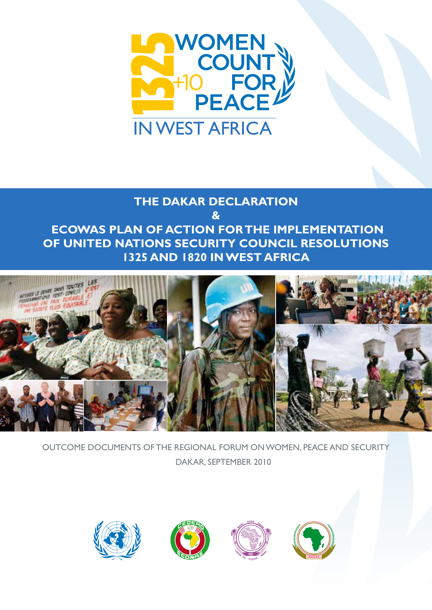

## **THE DAKAR DECLARATION & ECOWAS PLAN OF ACTION FOR THE IMPLEMENTATION OF UNITED NATIONS SECURITY COUNCIL RESOLUTIONS 1325 AND 1820 IN WEST AFRICA**



OUTCOME Documents OF THE regional forum on WOMEN, peace and security Dakar, september 2010







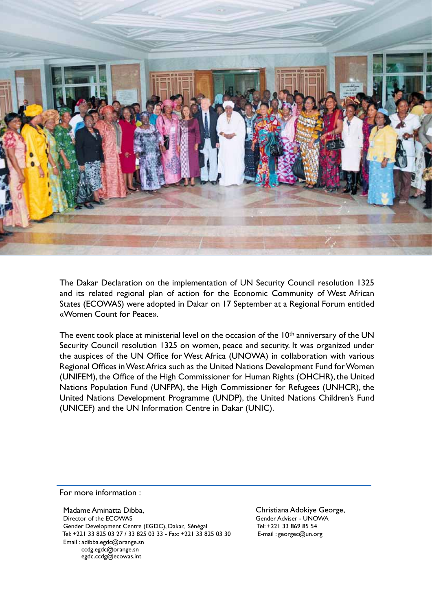

The Dakar Declaration on the implementation of UN Security Council resolution 1325 and its related regional plan of action for the Economic Community of West African States (ECOWAS) were adopted in Dakar on 17 September at a Regional Forum entitled «Women Count for Peace».

The event took place at ministerial level on the occasion of the 10<sup>th</sup> anniversary of the UN Security Council resolution 1325 on women, peace and security. It was organized under the auspices of the UN Office for West Africa (UNOWA) in collaboration with various Regional Offices in West Africa such as the United Nations Development Fund for Women (UNIFEM), the Office of the High Commissioner for Human Rights (OHCHR), the United Nations Population Fund (UNFPA), the High Commissioner for Refugees (UNHCR), the United Nations Development Programme (UNDP), the United Nations Children's Fund (UNICEF) and the UN Information Centre in Dakar (UNIC).

For more information :

 Madame Aminatta Dibba, Director of the ECOWAS Gender Development Centre (EGDC), Dakar, Sénégal Tel: +221 33 825 03 27 / 33 825 03 33 - Fax: +221 33 825 03 30 Email : adibba.egdc@orange.sn ccdg.egdc@orange.sn egdc.ccdg@ecowas.int

Christiana Adokiye George, Gender Adviser - UNOWA Tel: +221 33 869 85 54 E-mail : georgec@un.org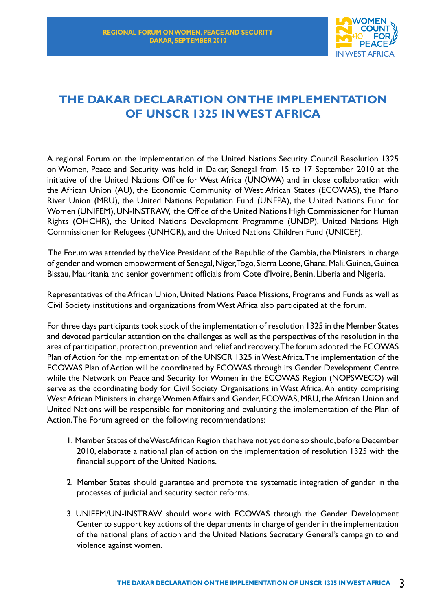

### **THE DAKAR DECLARATION ON THE IMPLEMENTATION OF UNSCR 1325 IN WEST AFRICA**

A regional Forum on the implementation of the United Nations Security Council Resolution 1325 on Women, Peace and Security was held in Dakar, Senegal from 15 to 17 September 2010 at the initiative of the United Nations Office for West Africa (UNOWA) and in close collaboration with the African Union (AU), the Economic Community of West African States (ECOWAS), the Mano River Union (MRU), the United Nations Population Fund (UNFPA), the United Nations Fund for Women (UNIFEM), UN-INSTRAW, the Office of the United Nations High Commissioner for Human Rights (OHCHR), the United Nations Development Programme (UNDP), United Nations High Commissioner for Refugees (UNHCR), and the United Nations Children Fund (UNICEF).

 The Forum was attended by the Vice President of the Republic of the Gambia, the Ministers in charge of gender and women empowerment of Senegal, Niger, Togo, Sierra Leone, Ghana, Mali, Guinea, Guinea Bissau, Mauritania and senior government officials from Cote d'Ivoire, Benin, Liberia and Nigeria.

Representatives of the African Union, United Nations Peace Missions, Programs and Funds as well as Civil Society institutions and organizations from West Africa also participated at the forum.

For three days participants took stock of the implementation of resolution 1325 in the Member States and devoted particular attention on the challenges as well as the perspectives of the resolution in the area of participation, protection, prevention and relief and recovery. The forum adopted the ECOWAS Plan of Action for the implementation of the UNSCR 1325 in West Africa. The implementation of the ECOWAS Plan of Action will be coordinated by ECOWAS through its Gender Development Centre while the Network on Peace and Security for Women in the ECOWAS Region (NOPSWECO) will serve as the coordinating body for Civil Society Organisations in West Africa. An entity comprising West African Ministers in charge Women Affairs and Gender, ECOWAS, MRU, the African Union and United Nations will be responsible for monitoring and evaluating the implementation of the Plan of Action. The Forum agreed on the following recommendations:

- 1. Member States of the West African Region that have not yet done so should, before December 2010, elaborate a national plan of action on the implementation of resolution 1325 with the financial support of the United Nations.
- 2. Member States should guarantee and promote the systematic integration of gender in the processes of judicial and security sector reforms.
- 3. UNIFEM/UN-INSTRAW should work with ECOWAS through the Gender Development Center to support key actions of the departments in charge of gender in the implementation of the national plans of action and the United Nations Secretary General's campaign to end violence against women.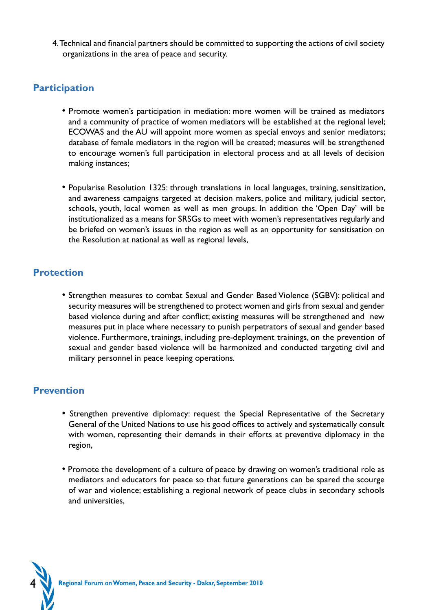4. Technical and financial partners should be committed to supporting the actions of civil society organizations in the area of peace and security.

### **Participation**

- Promote women's participation in mediation: more women will be trained as mediators and a community of practice of women mediators will be established at the regional level; ECOWAS and the AU will appoint more women as special envoys and senior mediators; database of female mediators in the region will be created; measures will be strengthened to encourage women's full participation in electoral process and at all levels of decision making instances;
- Popularise Resolution 1325: through translations in local languages, training, sensitization, and awareness campaigns targeted at decision makers, police and military, judicial sector, schools, youth, local women as well as men groups. In addition the 'Open Day' will be institutionalized as a means for SRSGs to meet with women's representatives regularly and be briefed on women's issues in the region as well as an opportunity for sensitisation on the Resolution at national as well as regional levels,

#### **Protection**

• Strengthen measures to combat Sexual and Gender Based Violence (SGBV): political and security measures will be strengthened to protect women and girls from sexual and gender based violence during and after conflict; existing measures will be strengthened and new measures put in place where necessary to punish perpetrators of sexual and gender based violence. Furthermore, trainings, including pre-deployment trainings, on the prevention of sexual and gender based violence will be harmonized and conducted targeting civil and military personnel in peace keeping operations.

### **Prevention**

- Strengthen preventive diplomacy: request the Special Representative of the Secretary General of the United Nations to use his good offices to actively and systematically consult with women, representing their demands in their efforts at preventive diplomacy in the region,
- Promote the development of a culture of peace by drawing on women's traditional role as mediators and educators for peace so that future generations can be spared the scourge of war and violence; establishing a regional network of peace clubs in secondary schools and universities,

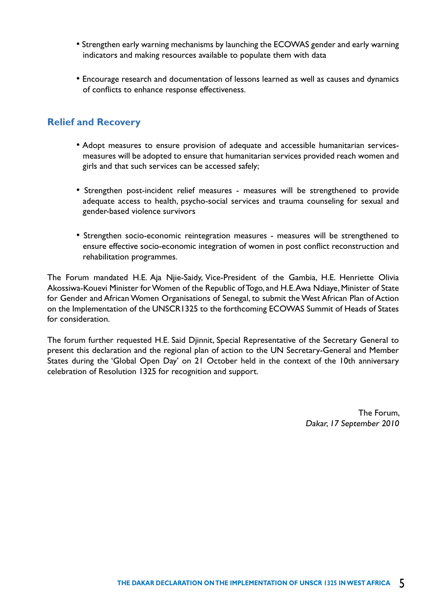- Strengthen early warning mechanisms by launching the ECOWAS gender and early warning indicators and making resources available to populate them with data
- Encourage research and documentation of lessons learned as well as causes and dynamics of conflicts to enhance response effectiveness.

#### **Relief and Recovery**

- Adopt measures to ensure provision of adequate and accessible humanitarian servicesmeasures will be adopted to ensure that humanitarian services provided reach women and girls and that such services can be accessed safely;
- Strengthen post-incident relief measures measures will be strengthened to provide adequate access to health, psycho-social services and trauma counseling for sexual and gender-based violence survivors
- Strengthen socio-economic reintegration measures measures will be strengthened to ensure effective socio-economic integration of women in post conflict reconstruction and rehabilitation programmes.

The Forum mandated H.E. Aja Njie-Saidy, Vice-President of the Gambia, H.E. Henriette Olivia Akossiwa-Kouevi Minister for Women of the Republic of Togo, and H.E. Awa Ndiaye, Minister of State for Gender and African Women Organisations of Senegal, to submit the West African Plan of Action on the Implementation of the UNSCR1325 to the forthcoming ECOWAS Summit of Heads of States for consideration.

The forum further requested H.E. Said Djinnit, Special Representative of the Secretary General to present this declaration and the regional plan of action to the UN Secretary-General and Member States during the 'Global Open Day' on 21 October held in the context of the 10th anniversary celebration of Resolution 1325 for recognition and support.

> The Forum, Dakar, 17 September 2010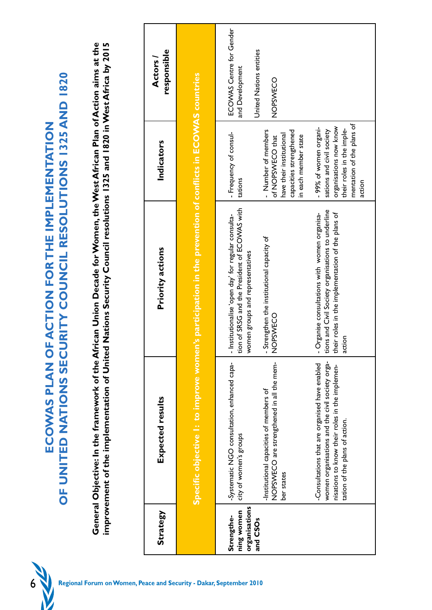

|                                                                                                                                                                                                                                                                                                                     | responsible<br><b>Actors</b> |                                                                                                           | ECOWAS Centre for Gender<br>United Nations entities<br>and Development<br>NOPSWECO                                                                                                                                                                                                                                                                                       |
|---------------------------------------------------------------------------------------------------------------------------------------------------------------------------------------------------------------------------------------------------------------------------------------------------------------------|------------------------------|-----------------------------------------------------------------------------------------------------------|--------------------------------------------------------------------------------------------------------------------------------------------------------------------------------------------------------------------------------------------------------------------------------------------------------------------------------------------------------------------------|
|                                                                                                                                                                                                                                                                                                                     | Indicators                   |                                                                                                           | mentation of the plans of<br>organisations now know<br>-99% of women organi-<br>their roles in the imple-<br>sations and civil society<br>- Number of members<br>capacities strengthened<br>- Frequency of consul-<br>have their institutional<br>in each member state<br>of NOPSWECO that<br>tations<br>action                                                          |
| General Objective: In the framework of the African Union Decade for Women, the West African Plan of Action aims at the<br>Nations Security Council resolutions 1325 and 1820 in West Africa by 2015<br>OF UNITED NATIONS SECURITY COUNCIL RESOLUTIONS 1325 AND 1820<br>ECOWAS PLAN OF ACTION FOR THE IMPLEMENTATION | Priority actions             | Specific objective 1: to improve women's participation in the prevention of conflicts in ECOWAS countries | tion of SRSG and the President of ECOWAS with<br>tions and Civil Society organisations to underline<br>their roles in the implementation of the plans of<br>- Organise consultations with women organisa-<br>- Institutionalise 'open day' for regular consulta-<br>- Strengthen the institutional capacity of<br>NOPSWECO<br>women groups and representatives<br>action |
| improvement of the implementation of United                                                                                                                                                                                                                                                                         | Expected results             |                                                                                                           | women organisations and the civil society orga-<br>NOPSWECO are strengthened in all the mem-<br>-Systematic NGO consultation, enhanced capa-<br>-Consultations that are organised have enabled<br>nisations to know their roles in the implemen-<br>-Institutional capacities of members of<br>tation of the plans of action.<br>city of women's groups<br>ber states    |
|                                                                                                                                                                                                                                                                                                                     | <b>Strategy</b>              |                                                                                                           | organisations<br>ning women<br>Strengthe-<br>and CSOs                                                                                                                                                                                                                                                                                                                    |
| 6<br>Regional Forum on Women, Peace and Security - Dakar, September 2010                                                                                                                                                                                                                                            |                              |                                                                                                           |                                                                                                                                                                                                                                                                                                                                                                          |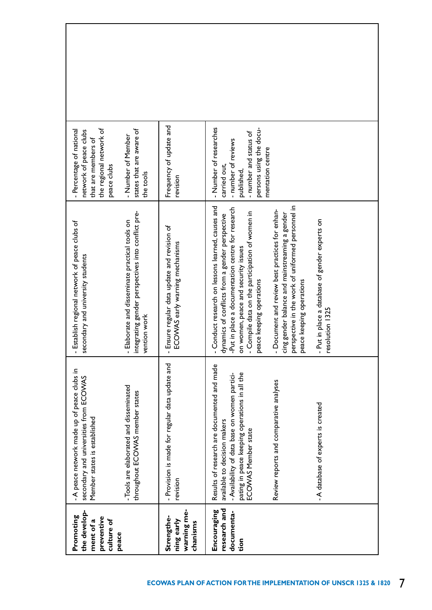| the develop-<br>Promoting<br>preventive<br>culture of<br>ment of a | -A peace network made up of peace clubs in<br>secondary and universities from ECOVVAS<br>Member states is established                                                                               | Establish regional network of peace clubs of<br>secondary and university students<br>7                                                                                                                                                                                              | the regional network of<br>- Percentage of national<br>network of peace clubs<br>that are members of<br>peace clubs                                  |  |
|--------------------------------------------------------------------|-----------------------------------------------------------------------------------------------------------------------------------------------------------------------------------------------------|-------------------------------------------------------------------------------------------------------------------------------------------------------------------------------------------------------------------------------------------------------------------------------------|------------------------------------------------------------------------------------------------------------------------------------------------------|--|
| peace                                                              | - Tools are elaborated and disseminated<br>throughout ECOVYAS member states                                                                                                                         | integrating gender perspectives into conflict pre-<br>Elaborate and disseminate practical tools on<br>vention work<br>ī                                                                                                                                                             | states that are aware of<br>- Number of Member<br>the tools                                                                                          |  |
| warning me-<br>Strengthe-<br>ning early<br>chanisms                | - Provision is made for regular data update and<br>revision                                                                                                                                         | Ensure regular data update and revision of<br>ECOWAS early warning mechanisms<br>$\mathbf{r}$                                                                                                                                                                                       | Frequency of update and<br>revision                                                                                                                  |  |
| research and<br>Encouraging<br>documenta-<br>tion                  | Results of research are documented and made<br>pating in peace keeping operations in all the<br>-Availability of data base on women partici-<br>available to decision makers<br>ECOWAS Member state | Conduct research on lessons learned, causes and<br>-Put in place a documentation centre for research<br>- Compile data on the participation of women in<br>dynamics of conflicts from a gender perspective<br>on women, peace and security issues<br>peace keeping operations<br>ī, | - Number of researches<br>persons using the docu-<br>- number and status of<br>- number of reviews<br>mentation centre<br>carried out,<br>published, |  |
|                                                                    | Review reports and comparative analyses                                                                                                                                                             | perspective in the work of uniformed personnel in<br>peace keeping operations<br>Document and review best practices for enhan-<br>cing gender balance and mainstreaming a gender<br>$\mathbf{r}$                                                                                    |                                                                                                                                                      |  |
|                                                                    | - A database of experts is created                                                                                                                                                                  | Put in place a database of gender experts on<br>resolution 1325<br>7                                                                                                                                                                                                                |                                                                                                                                                      |  |
|                                                                    |                                                                                                                                                                                                     |                                                                                                                                                                                                                                                                                     |                                                                                                                                                      |  |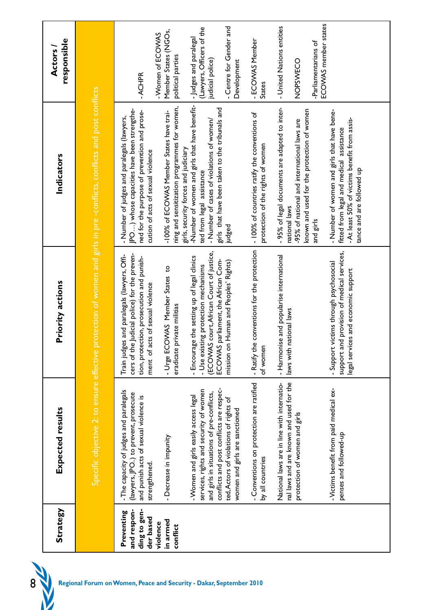| <b>Strategy</b>                                        | Expected results                                                                                                                                                                                                                                     | <b>Priority actions</b>                                                                                                                                                                                            | Indicators                                                                                                                                                                           | responsible<br><b>Actors</b>                                                                                      |
|--------------------------------------------------------|------------------------------------------------------------------------------------------------------------------------------------------------------------------------------------------------------------------------------------------------------|--------------------------------------------------------------------------------------------------------------------------------------------------------------------------------------------------------------------|--------------------------------------------------------------------------------------------------------------------------------------------------------------------------------------|-------------------------------------------------------------------------------------------------------------------|
|                                                        |                                                                                                                                                                                                                                                      |                                                                                                                                                                                                                    | Specific objective 2: to ensure effective protection of women and girls in pre -conflicts, conflicts and post conflicts                                                              |                                                                                                                   |
| ding to gen-<br>and respon-<br>Preventing<br>der based | - The capacity of judges and paralegals<br>(lawyers, JPO) to prevent, prosecute<br>and punish acts of sexual violence is<br>strengthened.                                                                                                            | Judicial police) for the preven-<br>Train judges and paralegals (lawyers, Offi-<br>tion, protection, prosecution and punish-<br>ment of acts of sexual violence<br>cers of the                                     | JPO) whose capacities have been strengthe-<br>ned for the purpose of prevention and prose-<br>- Number of judges and paralegals (lawyers,<br>cution of acts of sexual violence       | -ACHPR                                                                                                            |
| in armed<br>violence<br>conflict                       | - Decrease in impunity                                                                                                                                                                                                                               | - Urge ECOWAS Member States to<br>eradicate private militias                                                                                                                                                       | ning and sensitization programmes for women,<br>-100% of ECOWAS Member States have trai-<br>girls, security forces and judiciary                                                     | Member States (NGOs,<br>- Women of ECOWAS<br>political parties                                                    |
|                                                        | conflicts and post conflicts are respec-<br>services, rights and security of women<br>and girls in situations of pre-conflicts,<br>- Women and girls easily access legal<br>ted, Actors of violations of rights of<br>women and girls are sanctioned | (ECOWAS court, African Court of justice,<br>- Encourage the setting up of legal clinics<br>ECOWAS parliament, the African Com-<br>Human and Peoples' Rights)<br>- Use existing protection mechanisms<br>mission on | -Number of women and girls that have benefit-<br>girls that have been taken to the tribunals and<br>- Number of cases of violations of women/<br>ted from legal assistance<br>judged | - Centre for Gender and<br>(Lawyers, Officers of the<br>- Judges and paralegal<br>judicial police)<br>Development |
|                                                        | - Conventions on protection are ratified<br>by all countries                                                                                                                                                                                         | conventions for the protection<br>- Ratify the<br>of women                                                                                                                                                         | - 100% of countries ratify the conventions of<br>protection of the rights of women                                                                                                   | - ECOWAS Member<br>States                                                                                         |
|                                                        | nal laws and are known and used for the<br>National laws are in line with internatio-<br>protection of women and girls                                                                                                                               | - Harmonise and popularise international<br>laws with national laws                                                                                                                                                | - 95% of legal documents are adapted to inter-<br>known and used for the protection of women<br>-95% of national and international laws are<br>national laws<br>and girls            | ECOWAS member states<br>- United Nations entities<br>-Parliamentarians of<br>NOPSWECO                             |
|                                                        | -Victims benefit from paid medical ex-<br>penses and followed-up                                                                                                                                                                                     | support and provision of medical services,<br>- Support victims through psychosocial<br>legal services and economic support                                                                                        | - Number of women and girls that have bene-<br>- At least 50% of victims benefit from assis-<br>fitted from legal and medical assistance<br>tance and are followed up                |                                                                                                                   |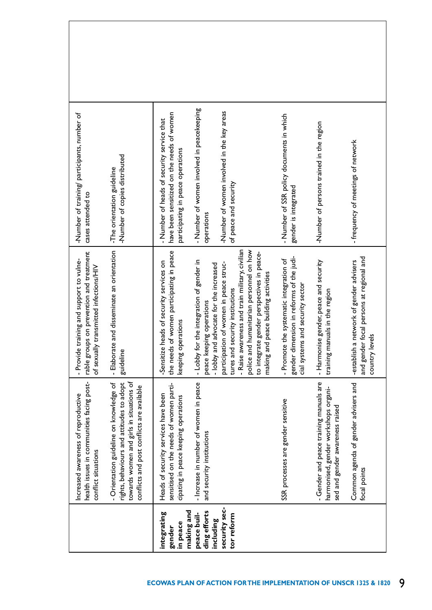| -Number of training/ participants, number of<br>-Number of copies distributed<br>-The orientation guideline<br>cases attended to                                                                                                                                                          | - Number of women involved in peacekeeping<br>-Number of women involved in the key areas<br>have been sensitized on the needs of women<br>- Number of heads of security service that<br>participating in peace operations<br>of peace and security<br>operations                                                                                                                                                                                                                                         | - Number of SSR policy documents in which<br>-Number of persons trained in the region<br>- frequency of meetings of network<br>gender is integrated                                                                                                                                                          |
|-------------------------------------------------------------------------------------------------------------------------------------------------------------------------------------------------------------------------------------------------------------------------------------------|----------------------------------------------------------------------------------------------------------------------------------------------------------------------------------------------------------------------------------------------------------------------------------------------------------------------------------------------------------------------------------------------------------------------------------------------------------------------------------------------------------|--------------------------------------------------------------------------------------------------------------------------------------------------------------------------------------------------------------------------------------------------------------------------------------------------------------|
| and disseminate an orientation<br>rable groups on prevention and treatment<br>- Provide training and support to vulne-<br>of sexually transmitted infections/HIV<br>- Elaborate<br>guideline                                                                                              | - Raise awareness and train military, civilian<br>police and humanitarian personnel on how<br>of women participating in peace<br>to integrate gender perspectives in peace-<br>- Lobby for the integration of gender in<br>heads of security services on<br>participation of women in peace struc-<br>- lobby and advocate for the increased<br>making and peace building activities<br>tures and security institutions<br>peace keeping operations<br>erations<br>keeping op<br>the needs<br>-Sensitize | gender dimension in reforms of the judi-<br>and gender focal persons at regional and<br>- Promote the systematic integration of<br>- Harmonise gender, peace and security<br>-establish a network of gender advisers<br>cial systems and security sector<br>training manuals in the region<br>country levels |
| health issues in communities facing post-<br>towards women and girls in situations of<br>rights, behaviours and attitudes to adopt<br>- Orientation guideline on knowledge of<br>conflicts and post conflicts are available<br>Increased awareness of reproductive<br>conflict situations | sensitised on the needs of women parti-<br>- Increase in number of women in peace<br>Heads of security services have been<br>cipating in peace keeping operations<br>and security institutions                                                                                                                                                                                                                                                                                                           | - Gender and peace training manuals are<br>Common agenda of gender advisers and<br>harmonised, gender workshops organi-<br>SSR processes are gender sensitive<br>sed and gender awareness raised<br>focal points                                                                                             |
|                                                                                                                                                                                                                                                                                           | security sec-<br>making and<br>ding efforts<br>integrating<br>peace buil-<br>tor reform<br>including<br>in peace<br>gender                                                                                                                                                                                                                                                                                                                                                                               |                                                                                                                                                                                                                                                                                                              |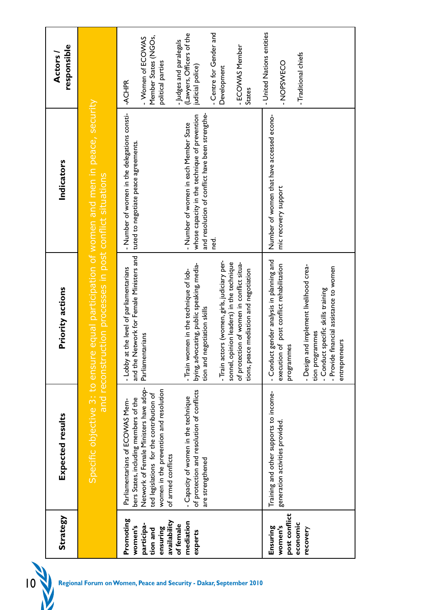| <b>Strategy</b>                                                            | Expected results                                                                                                                                                                                                               | Priority actions                                                                                                                                                                                                                                                                                        | Indicators                                                                                                                                              | responsible<br><b>Actors</b>                                                                                                                    |
|----------------------------------------------------------------------------|--------------------------------------------------------------------------------------------------------------------------------------------------------------------------------------------------------------------------------|---------------------------------------------------------------------------------------------------------------------------------------------------------------------------------------------------------------------------------------------------------------------------------------------------------|---------------------------------------------------------------------------------------------------------------------------------------------------------|-------------------------------------------------------------------------------------------------------------------------------------------------|
|                                                                            | Specific objective 3:                                                                                                                                                                                                          | and reconstruction processes in post conflict situations<br>to ensure                                                                                                                                                                                                                                   | equal participation of women and men in peace, security                                                                                                 |                                                                                                                                                 |
| Promoting<br>availability<br>participa-<br>women's<br>ensuring<br>tion and | Network of Female Ministers have adop-<br>women in the prevention and resolution<br>ted legislations for the contribution of<br>bers States, including members of the<br>Parliamentarians of ECOWAS Mem-<br>of armed conflicts | and the Network for Female Ministers and<br>- Lobby at the level of parliamentarians<br>Parliamentarians                                                                                                                                                                                                | - Number of women in the delegations consti-<br>tuted to negotiate peace agreements.                                                                    | Member States (NGOs,<br>- Women of ECOWAS<br>political parties<br>-ACHPR                                                                        |
| mediation<br>of female<br>experts                                          | of protection and resolution of conflicts<br>- Capacity of women in the technique<br>are strengthened                                                                                                                          | - Train actors (women, girls, judiciary per-<br>sonnel, opinion leaders) in the technique<br>of protection of women in conflict situa-<br>bying, advocating, public speaking, media-<br>- Train women in the technique of lob-<br>tions, peace mediation and negotiation<br>tion and negotiation skills | and resolution of conflict have been strengthe-<br>whose capacity in the technique of prevention<br>- Number of women in each Member State<br>7ed<br>Te | - Centre for Gender and<br>(Lawyers, Officers of the<br>- Judges and paralegals<br>- ECOWAS Member<br>judicial police)<br>Development<br>States |
| post conflict<br>economic<br>women's<br>Ensuring<br>recovery               | Training and other supports to income-<br>generation activities provided                                                                                                                                                       | - Conduct gender analysis in planning and<br>of post conflict rehabilitation<br>- Design and implement livelihood crea-<br>financial assistance to women<br>- Conduct specific skills training<br>tion programmes<br>entrepreneurs<br>cs<br>execution<br>programm<br>- Provide                          | Number of women that have accessed econo-<br>mic recovery support                                                                                       | - United Nations entities<br>-Traditional chiefs<br>- NOPSWECO                                                                                  |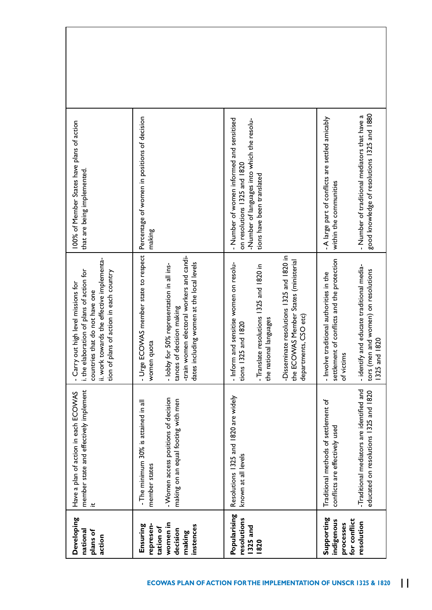| 100% of Member States have plans of action<br>that are being implemented.                                                                                                                                   | Percentage of women in positions of decision<br>making                                                                                                                                                                          | - Number of women informed and sensitised<br>-Number of languages into which the resolu-<br>on resolutions 1325 and 1820<br>tions have been translated                                                                                                   | good knowledge of resolutions 1325 and 1880<br>- Number of traditional mediators that have a<br>- A large part of conflicts are settled amicably<br>within the communities                                      |
|-------------------------------------------------------------------------------------------------------------------------------------------------------------------------------------------------------------|---------------------------------------------------------------------------------------------------------------------------------------------------------------------------------------------------------------------------------|----------------------------------------------------------------------------------------------------------------------------------------------------------------------------------------------------------------------------------------------------------|-----------------------------------------------------------------------------------------------------------------------------------------------------------------------------------------------------------------|
| ii. work towards the effective implementa-<br>i. the elaboration of plans of action for<br>tion of plans of action in each country<br>- Carry out high level missions for<br>countries that do not have one | - Urge ECOV/AS member state to respect<br>-train women electoral workers and candi-<br>dates including women at the local levels<br>- lobby for 50% representation in all ins-<br>tances of decision making<br>Iota<br>women qu | -Disseminate resolutions 1325 and 1820 in<br>the ECOWAS Member States (ministerial<br>- Inform and sensitise women on resolu-<br>resolutions 1325 and 1820 in<br>departments, CSO etc)<br>the national languages<br>and 1820<br>tions 1325<br>-Translate | settlement of conflicts and the protection<br>- identify and educate traditional media-<br>and women) on resolutions<br>- Involve traditional authorities in the<br>1820<br>tors (men<br>of victims<br>1325 and |
| member state and effectively implement<br>Have a plan of action in each ECOVAS<br>یع.                                                                                                                       | - Women access positions of decision<br>making on an equal footing with men<br>- The minimum 30% is attained in all<br>member states                                                                                            | Resolutions 1325 and 1820 are widely<br>known at all levels                                                                                                                                                                                              | -Traditional mediators are identified and<br>educated on resolutions 1325 and 1820<br>Traditional methods of settlement of<br>conflicts are effectively used                                                    |
| Developing<br>national<br>plans of<br>action                                                                                                                                                                | women in<br>represen-<br>Ensuring<br>instences<br>tation of<br>decision<br>making                                                                                                                                               | Popularising<br>resolutions<br>1325 and<br>1820                                                                                                                                                                                                          | Supporting<br>for conflict<br>indigenous<br>resolution<br>processes                                                                                                                                             |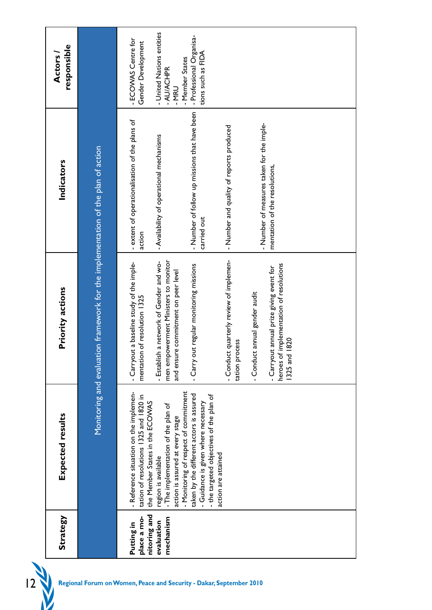| - Number of measures taken for the imple-<br>mentation of the resolutions,<br>heroes of implementation of resolutions<br>- Carryout annual prize giving event for<br>- Conduct annual gender audit<br>1820<br>1325 and | - ECOWAS Centre for<br>Gender Development<br>- extent of operationalisation of the plans of<br>action<br>- Carryout a baseline study of the imple-<br>mentation of resolution 1325<br>- Reference situation on the implemen-<br>tation of resolutions 1325 and 1820 in<br>place a mo-<br>Putting in | Monitoring and evaluation framework for the implementation of the plan of action | - Professional Organisa-<br>responsible<br>tions such as FIDA<br>Actors<br>- Member States<br>- AU/ACHPR<br>- MRU | - Number of follow up missions that have been<br>- Number and quality of reports produced<br>- Availability of operational mechanisms<br>Indicators<br>carried out | - Conduct quarterly review of implemen-<br>men empowerment Ministers to monitor<br>a network of Gender and wo-<br>- Carry out regular monitoring missions<br>and ensure commitment on peer level<br>Priority actions<br>cess<br>- Establish<br>tation pro | - Monitoring of respect of commitment<br>taken by the different actors is assured<br>- the targeted objectives of the plan of<br>the Member States in the ECOWAS<br>- Guidance is given where necessary<br>- The implementation of the plan of<br>Expected results<br>action is assured at every stage<br>action are attained<br>region is available | nitoring and<br><b>Strategy</b><br>mechanism<br>evaluation |
|------------------------------------------------------------------------------------------------------------------------------------------------------------------------------------------------------------------------|-----------------------------------------------------------------------------------------------------------------------------------------------------------------------------------------------------------------------------------------------------------------------------------------------------|----------------------------------------------------------------------------------|-------------------------------------------------------------------------------------------------------------------|--------------------------------------------------------------------------------------------------------------------------------------------------------------------|-----------------------------------------------------------------------------------------------------------------------------------------------------------------------------------------------------------------------------------------------------------|------------------------------------------------------------------------------------------------------------------------------------------------------------------------------------------------------------------------------------------------------------------------------------------------------------------------------------------------------|------------------------------------------------------------|
|                                                                                                                                                                                                                        | - United Nations entities                                                                                                                                                                                                                                                                           |                                                                                  |                                                                                                                   |                                                                                                                                                                    |                                                                                                                                                                                                                                                           |                                                                                                                                                                                                                                                                                                                                                      |                                                            |
|                                                                                                                                                                                                                        |                                                                                                                                                                                                                                                                                                     |                                                                                  |                                                                                                                   |                                                                                                                                                                    |                                                                                                                                                                                                                                                           |                                                                                                                                                                                                                                                                                                                                                      |                                                            |
|                                                                                                                                                                                                                        |                                                                                                                                                                                                                                                                                                     |                                                                                  |                                                                                                                   |                                                                                                                                                                    |                                                                                                                                                                                                                                                           |                                                                                                                                                                                                                                                                                                                                                      |                                                            |
|                                                                                                                                                                                                                        |                                                                                                                                                                                                                                                                                                     |                                                                                  |                                                                                                                   |                                                                                                                                                                    |                                                                                                                                                                                                                                                           |                                                                                                                                                                                                                                                                                                                                                      |                                                            |
|                                                                                                                                                                                                                        |                                                                                                                                                                                                                                                                                                     |                                                                                  |                                                                                                                   |                                                                                                                                                                    |                                                                                                                                                                                                                                                           |                                                                                                                                                                                                                                                                                                                                                      |                                                            |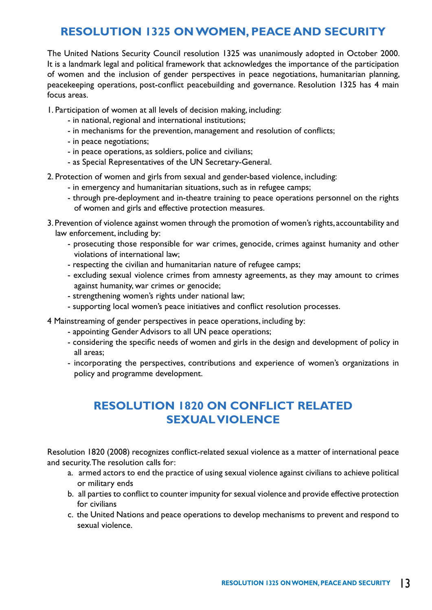## **RESOLUTION 1325 ON WOMEN, PEACE AND SECURITY**

The United Nations Security Council resolution 1325 was unanimously adopted in October 2000. It is a landmark legal and political framework that acknowledges the importance of the participation of women and the inclusion of gender perspectives in peace negotiations, humanitarian planning, peacekeeping operations, post-conflict peacebuilding and governance. Resolution 1325 has 4 main focus areas.

1. Participation of women at all levels of decision making, including:

- in national, regional and international institutions;
- in mechanisms for the prevention, management and resolution of conflicts;
- in peace negotiations;
- in peace operations, as soldiers, police and civilians;
- as Special Representatives of the UN Secretary-General.
- 2. Protection of women and girls from sexual and gender-based violence, including:
	- in emergency and humanitarian situations, such as in refugee camps;
	- through pre-deployment and in-theatre training to peace operations personnel on the rights of women and girls and effective protection measures.
- 3. Prevention of violence against women through the promotion of women's rights, accountability and law enforcement, including by:
	- prosecuting those responsible for war crimes, genocide, crimes against humanity and other violations of international law;
	- respecting the civilian and humanitarian nature of refugee camps;
	- excluding sexual violence crimes from amnesty agreements, as they may amount to crimes against humanity, war crimes or genocide;
	- strengthening women's rights under national law;
	- supporting local women's peace initiatives and conflict resolution processes.
- 4 Mainstreaming of gender perspectives in peace operations, including by:
	- appointing Gender Advisors to all UN peace operations;
	- considering the specific needs of women and girls in the design and development of policy in all areas;
	- incorporating the perspectives, contributions and experience of women's organizations in policy and programme development.

# **RESOLUTION 1820 ON CONFLICT RELATED SEXUAL VIOLENCE**

Resolution 1820 (2008) recognizes conflict-related sexual violence as a matter of international peace and security. The resolution calls for:

- a. armed actors to end the practice of using sexual violence against civilians to achieve political or military ends
- b. all parties to conflict to counter impunity for sexual violence and provide effective protection for civilians
- c. the United Nations and peace operations to develop mechanisms to prevent and respond to sexual violence.